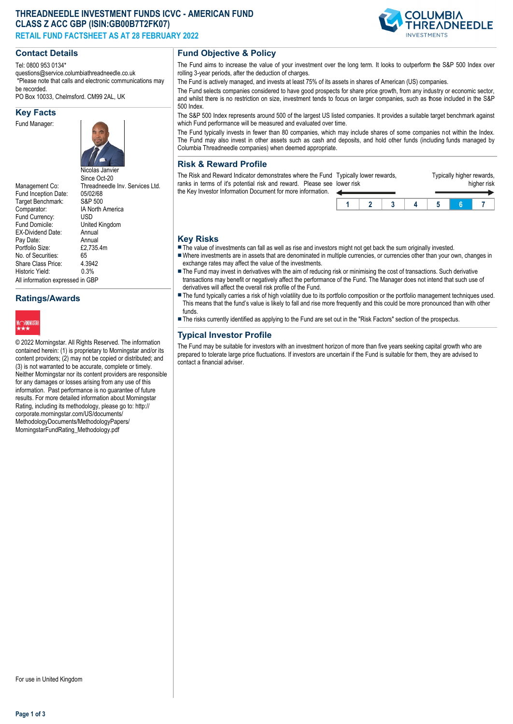# **THREADNEEDLE INVESTMENT FUNDS ICVC - AMERICAN FUND CLASS Z ACC GBP (ISIN:GB00B7T2FK07) RETAIL FUND FACTSHEET AS AT 28 FEBRUARY 2022**

## **Contact Details**

Tel: 0800 953 0134\*

questions@service.columbiathreadneedle.co.uk \*Please note that calls and electronic communications may be recorded.

PO Box 10033, Chelmsford. CM99 2AL, UK

#### **Key Facts**

Fund Manager:



Management Co: Threadneedle Inv. Services Ltd.<br>Fund Incention Date: 05/02/68 Fund Inception Date: 05/02/68<br>Target Benchmark: S&P 500 Target Benchmark: Comparator: IA North America<br>Fund Currency: USD Fund Currency:<br>Fund Domicile: United Kingdom<br>Annual EX-Dividend Date: Annual<br>Pay Date: Annual Pay Date: Annual<br>Portfolio Size: £2.735.4m Portfolio Size: No. of Securities: 65<br>Share Class Price: 4.3942 Share Class Price: 4.394<br>Historic Vield: 0.3% Historic Yield: All information expressed in GBP

**Ratings/Awards**



© 2022 Morningstar. All Rights Reserved. The information contained herein: (1) is proprietary to Morningstar and/or its content providers; (2) may not be copied or distributed; and (3) is not warranted to be accurate, complete or timely. Neither Morningstar nor its content providers are responsible for any damages or losses arising from any use of this information. Past performance is no guarantee of future results. For more detailed information about Morningstar Rating, including its methodology, please go to: http:// corporate.morningstar.com/US/documents/ MethodologyDocuments/MethodologyPapers/ MorningstarFundRating\_Methodology.pdf

## **Fund Objective & Policy**

The Fund aims to increase the value of your investment over the long term. It looks to outperform the S&P 500 Index over rolling 3-year periods, after the deduction of charges.

The Fund is actively managed, and invests at least 75% of its assets in shares of American (US) companies.

The Fund selects companies considered to have good prospects for share price growth, from any industry or economic sector, and whilst there is no restriction on size, investment tends to focus on larger companies, such as those included in the S&P 500 Index.

The S&P 500 Index represents around 500 of the largest US listed companies. It provides a suitable target benchmark against which Fund performance will be measured and evaluated over time.

The Fund typically invests in fewer than 80 companies, which may include shares of some companies not within the Index. The Fund may also invest in other assets such as cash and deposits, and hold other funds (including funds managed by Columbia Threadneedle companies) when deemed appropriate.

## **Risk & Reward Profile**

The Risk and Reward Indicator demonstrates where the Fund Typically lower rewards, ranks in terms of it's potential risk and reward. Please see lower risk the Key Investor Information Document for more information.

| .<br>ower risk |  | . . | . . | higher risk |
|----------------|--|-----|-----|-------------|
|                |  |     |     |             |
|                |  |     |     |             |

Typically higher rewards

#### **Key Risks**

- $\blacksquare$  The value of investments can fall as well as rise and investors might not get back the sum originally invested.
- nWhere investments are in assets that are denominated in multiple currencies, or currencies other than your own, changes in exchange rates may affect the value of the investments.
- The Fund may invest in derivatives with the aim of reducing risk or minimising the cost of transactions. Such derivative transactions may benefit or negatively affect the performance of the Fund. The Manager does not intend that such use of derivatives will affect the overall risk profile of the Fund.
- The fund typically carries a risk of high volatility due to its portfolio composition or the portfolio management techniques used. This means that the fund's value is likely to fall and rise more frequently and this could be more pronounced than with other funds.
- n The risks currently identified as applying to the Fund are set out in the "Risk Factors" section of the prospectus.

# **Typical Investor Profile**

The Fund may be suitable for investors with an investment horizon of more than five years seeking capital growth who are prepared to tolerate large price fluctuations. If investors are uncertain if the Fund is suitable for them, they are advised to contact a financial adviser.

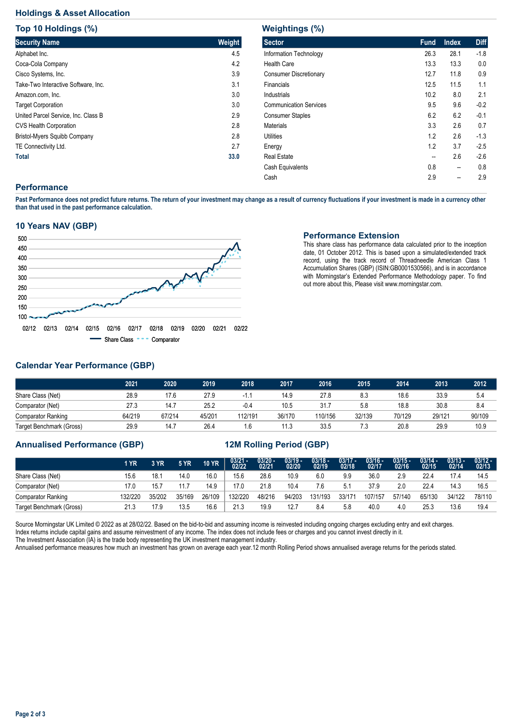# **Holdings & Asset Allocation**

**Top 10 Holdings (%)**

| <b>TOD TO HOIGINGS (%)</b>          |        |
|-------------------------------------|--------|
| <b>Security Name</b>                | Weight |
| Alphabet Inc.                       | 4.5    |
| Coca-Cola Company                   | 4.2    |
| Cisco Systems, Inc.                 | 3.9    |
| Take-Two Interactive Software, Inc. | 3.1    |
| Amazon.com, Inc.                    | 3.0    |
| <b>Target Corporation</b>           | 3.0    |
| United Parcel Service, Inc. Class B | 2.9    |
| <b>CVS Health Corporation</b>       | 2.8    |
| Bristol-Myers Squibb Company        | 2.8    |
| TE Connectivity Ltd.                | 2.7    |
| <b>Total</b>                        | 33.0   |

| <b>Weightings (%)</b>         |             |              |             |  |  |  |  |  |  |  |  |
|-------------------------------|-------------|--------------|-------------|--|--|--|--|--|--|--|--|
| <b>Sector</b>                 | <b>Fund</b> | <b>Index</b> | <b>Diff</b> |  |  |  |  |  |  |  |  |
| Information Technology        | 26.3        | 28.1         | $-1.8$      |  |  |  |  |  |  |  |  |
| <b>Health Care</b>            | 13.3        | 13.3         | 0.0         |  |  |  |  |  |  |  |  |
| <b>Consumer Discretionary</b> | 12.7        | 11.8         | 0.9         |  |  |  |  |  |  |  |  |
| Financials                    | 12.5        | 11.5         | 1.1         |  |  |  |  |  |  |  |  |
| Industrials                   | 10.2        | 8.0          | 2.1         |  |  |  |  |  |  |  |  |
| <b>Communication Services</b> | 9.5         | 9.6          | $-0.2$      |  |  |  |  |  |  |  |  |
| <b>Consumer Staples</b>       | 6.2         | 6.2          | $-0.1$      |  |  |  |  |  |  |  |  |
| <b>Materials</b>              | 3.3         | 2.6          | 0.7         |  |  |  |  |  |  |  |  |
| Utilities                     | 1.2         | 2.6          | $-1.3$      |  |  |  |  |  |  |  |  |
| Energy                        | 1.2         | 3.7          | $-2.5$      |  |  |  |  |  |  |  |  |
| <b>Real Estate</b>            | --          | 2.6          | $-2.6$      |  |  |  |  |  |  |  |  |
| Cash Equivalents              | 0.8         | --           | 0.8         |  |  |  |  |  |  |  |  |
| Cash                          | 2.9         | --           | 2.9         |  |  |  |  |  |  |  |  |

## **Performance**

**Past Performance does not predict future returns. The return of your investment may change as a result of currency fluctuations if your investment is made in a currency other than that used in the past performance calculation.** 

## **10 Years NAV (GBP)**



#### **Performance Extension**

This share class has performance data calculated prior to the inception date, 01 October 2012. This is based upon a simulated/extended track record, using the track record of Threadneedle American Class 1 Accumulation Shares (GBP) (ISIN:GB0001530566), and is in accordance with Morningstar's Extended Performance Methodology paper. To find out more about this, Please visit www.morningstar.com.

# **Calendar Year Performance (GBP)**

|                           | 2021   | 2020   | 2019   | 2018    | 2017   | 2016    | 2015   | 2014   | 2013   | 2012   |
|---------------------------|--------|--------|--------|---------|--------|---------|--------|--------|--------|--------|
| Share Class (Net)         | 28.9   | 17.6   | 27.9   | - 1     | 14.9   | 27.8    | 8.3    | 18.6   | 33.9   | 5.4    |
| Comparator (Net)          | 27.3   | 14.7   | 25.2   | $-0.4$  | 10.5   | 31.7    | 5.8    | 18.8   | 30.8   | 8.4    |
| <b>Comparator Ranking</b> | 64/219 | 67/214 | 45/201 | 112/191 | 36/170 | 110/156 | 32/139 | 70/129 | 29/121 | 90/109 |
| Target Benchmark (Gross)  | 29.9   | 14.7   | 26.4   | 1.6     | 11.3   | 33.5    | 7.3    | 20.8   | 29.9   | 10.9   |

## **Annualised Performance (GBP) 12M Rolling Period (GBP)**

|                           | 1 YR   | 3 YR   | <b>5 YR</b> | <b>10 YR</b> | $\frac{03/21}{02/22}$ | $\frac{03/20 - 0.21}{02/21}$ | $\frac{03/19}{02/20}$ | 03/18 -<br>02/19 | $\frac{03/17}{02/18}$ | 03/16 -<br>02/17 | $03/15 -$<br>02/16 | $03/14 -$<br>02/15 | $03/13 -$<br>02/14 | $\frac{03/12 - 03/12}{02/13}$ |
|---------------------------|--------|--------|-------------|--------------|-----------------------|------------------------------|-----------------------|------------------|-----------------------|------------------|--------------------|--------------------|--------------------|-------------------------------|
| Share Class (Net)         | 15.6   | 18.7   | 14.0        | 16.0         | 15.6                  | 28.6                         | 10.9                  | 6.0              | 9.9                   | 36.0             | 2.9                | 22.4               | 17.4               | 14.5                          |
| Comparator (Net)          | 17.0   | 15.7   | 11.7        | 14.9         | 17.0                  | 21.8                         | 10.4                  | 7.6              | 5.1                   | 37.9             | 2.0                | 22.4               | 14.3               | 16.5                          |
| <b>Comparator Ranking</b> | 32/220 | 35/202 | 35/169      | 26/109       | 132/220               | 48/216                       | 94/203                | 131/193          | 33/171                | 107/157          | 57/140             | 65/130             | 34/122             | 78/110                        |
| Target Benchmark (Gross)  | 21.3   | 17.9   | 13.5        | 16.6         | 21.3                  | 19.9                         | 12.7                  | 8.4              | 5.8                   | 40.0             | 4.0                | 25.3               | 13.6               | 19.4                          |

Source Morningstar UK Limited © 2022 as at 28/02/22. Based on the bid-to-bid and assuming income is reinvested including ongoing charges excluding entry and exit charges. Index returns include capital gains and assume reinvestment of any income. The index does not include fees or charges and you cannot invest directly in it. The Investment Association (IA) is the trade body representing the UK investment management industry.

Annualised performance measures how much an investment has grown on average each year.12 month Rolling Period shows annualised average returns for the periods stated.